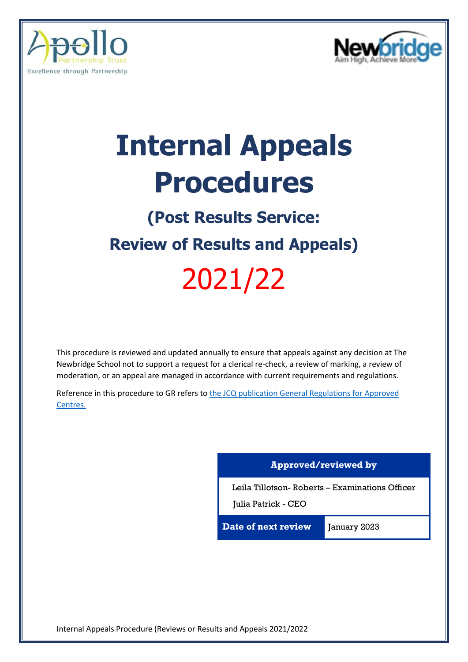



# **Internal Appeals Procedures**

# **(Post Results Service: Review of Results and Appeals)**

# 2021/22

This procedure is reviewed and updated annually to ensure that appeals against any decision at The Newbridge School not to support a request for a clerical re-check, a review of marking, a review of moderation, or an appeal are managed in accordance with current requirements and regulations.

Reference in this procedure to GR refers to the JCQ publication General Regulations for Approved [Centres.](https://www.jcq.org.uk/wp-content/uploads/2022/01/Gen_regs_approved_centres_21-22_FINAL.pdf)

### **Approved/reviewed by**

Leila Tillotson- Roberts – Examinations Officer

Julia Patrick - CEO

**Date of next review** January 2023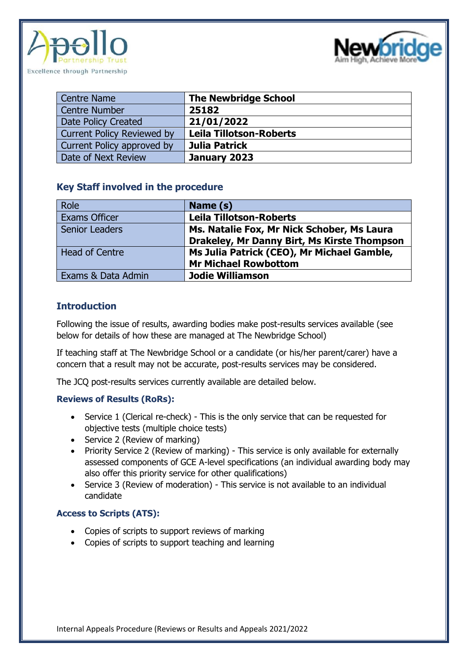



| <b>Centre Name</b>                | <b>The Newbridge School</b>    |
|-----------------------------------|--------------------------------|
| <b>Centre Number</b>              | 25182                          |
| Date Policy Created               | 21/01/2022                     |
| <b>Current Policy Reviewed by</b> | <b>Leila Tillotson-Roberts</b> |
| Current Policy approved by        | Julia Patrick                  |
| Date of Next Review               | January 2023                   |

#### **Key Staff involved in the procedure**

| Role                  | Name (s)                                    |
|-----------------------|---------------------------------------------|
| Exams Officer         | <b>Leila Tillotson-Roberts</b>              |
| <b>Senior Leaders</b> | Ms. Natalie Fox, Mr Nick Schober, Ms Laura  |
|                       | Drakeley, Mr Danny Birt, Ms Kirste Thompson |
| <b>Head of Centre</b> | Ms Julia Patrick (CEO), Mr Michael Gamble,  |
|                       | <b>Mr Michael Rowbottom</b>                 |
| Exams & Data Admin    | <b>Jodie Williamson</b>                     |

### **Introduction**

Following the issue of results, awarding bodies make post-results services available (see below for details of how these are managed at The Newbridge School)

If teaching staff at The Newbridge School or a candidate (or his/her parent/carer) have a concern that a result may not be accurate, post-results services may be considered.

The JCQ post-results services currently available are detailed below.

#### **Reviews of Results (RoRs):**

- Service 1 (Clerical re-check) This is the only service that can be requested for objective tests (multiple choice tests)
- Service 2 (Review of marking)
- Priority Service 2 (Review of marking) This service is only available for externally assessed components of GCE A-level specifications (an individual awarding body may also offer this priority service for other qualifications)
- Service 3 (Review of moderation) This service is not available to an individual candidate

#### **Access to Scripts (ATS):**

- Copies of scripts to support reviews of marking
- Copies of scripts to support teaching and learning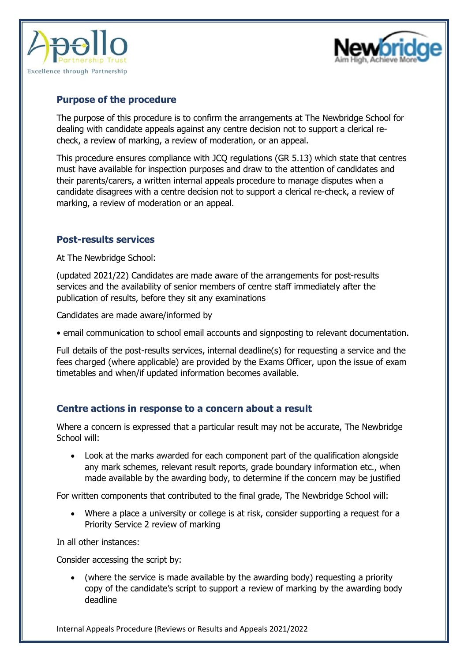



### **Purpose of the procedure**

The purpose of this procedure is to confirm the arrangements at The Newbridge School for dealing with candidate appeals against any centre decision not to support a clerical recheck, a review of marking, a review of moderation, or an appeal.

This procedure ensures compliance with JCQ regulations (GR 5.13) which state that centres must have available for inspection purposes and draw to the attention of candidates and their parents/carers, a written internal appeals procedure to manage disputes when a candidate disagrees with a centre decision not to support a clerical re-check, a review of marking, a review of moderation or an appeal.

### **Post-results services**

At The Newbridge School:

(updated 2021/22) Candidates are made aware of the arrangements for post-results services and the availability of senior members of centre staff immediately after the publication of results, before they sit any examinations

Candidates are made aware/informed by

• email communication to school email accounts and signposting to relevant documentation.

Full details of the post-results services, internal deadline(s) for requesting a service and the fees charged (where applicable) are provided by the Exams Officer, upon the issue of exam timetables and when/if updated information becomes available.

### **Centre actions in response to a concern about a result**

Where a concern is expressed that a particular result may not be accurate, The Newbridge School will:

• Look at the marks awarded for each component part of the qualification alongside any mark schemes, relevant result reports, grade boundary information etc., when made available by the awarding body, to determine if the concern may be justified

For written components that contributed to the final grade, The Newbridge School will:

• Where a place a university or college is at risk, consider supporting a request for a Priority Service 2 review of marking

In all other instances:

Consider accessing the script by:

• (where the service is made available by the awarding body) requesting a priority copy of the candidate's script to support a review of marking by the awarding body deadline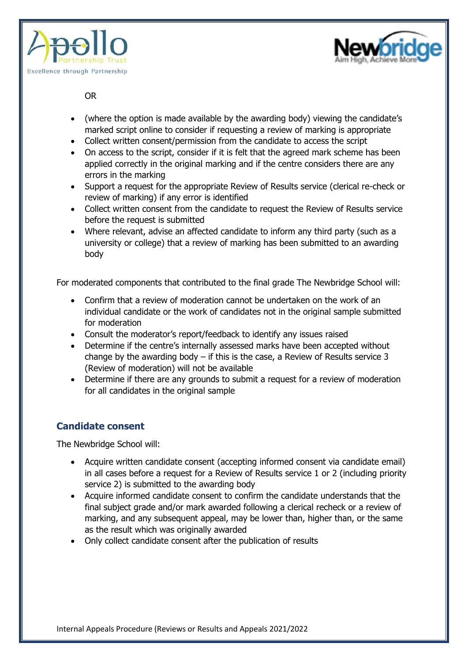



OR

- (where the option is made available by the awarding body) viewing the candidate's marked script online to consider if requesting a review of marking is appropriate
- Collect written consent/permission from the candidate to access the script
- On access to the script, consider if it is felt that the agreed mark scheme has been applied correctly in the original marking and if the centre considers there are any errors in the marking
- Support a request for the appropriate Review of Results service (clerical re-check or review of marking) if any error is identified
- Collect written consent from the candidate to request the Review of Results service before the request is submitted
- Where relevant, advise an affected candidate to inform any third party (such as a university or college) that a review of marking has been submitted to an awarding body

For moderated components that contributed to the final grade The Newbridge School will:

- Confirm that a review of moderation cannot be undertaken on the work of an individual candidate or the work of candidates not in the original sample submitted for moderation
- Consult the moderator's report/feedback to identify any issues raised
- Determine if the centre's internally assessed marks have been accepted without change by the awarding body  $-$  if this is the case, a Review of Results service 3 (Review of moderation) will not be available
- Determine if there are any grounds to submit a request for a review of moderation for all candidates in the original sample

# **Candidate consent**

The Newbridge School will:

- Acquire written candidate consent (accepting informed consent via candidate email) in all cases before a request for a Review of Results service 1 or 2 (including priority service 2) is submitted to the awarding body
- Acquire informed candidate consent to confirm the candidate understands that the final subject grade and/or mark awarded following a clerical recheck or a review of marking, and any subsequent appeal, may be lower than, higher than, or the same as the result which was originally awarded
- Only collect candidate consent after the publication of results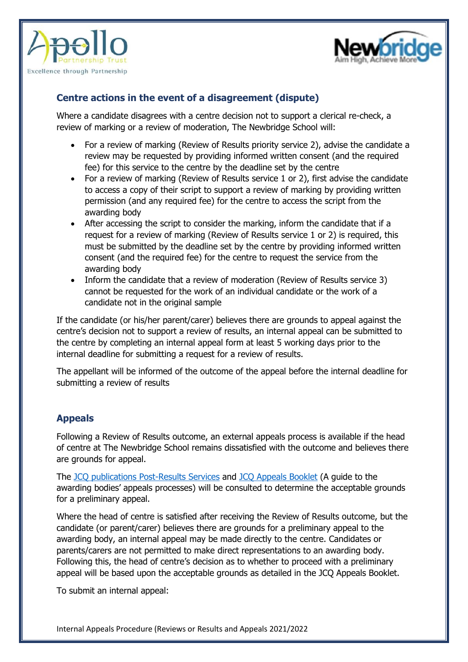



## **Centre actions in the event of a disagreement (dispute)**

Where a candidate disagrees with a centre decision not to support a clerical re-check, a review of marking or a review of moderation, The Newbridge School will:

- For a review of marking (Review of Results priority service 2), advise the candidate a review may be requested by providing informed written consent (and the required fee) for this service to the centre by the deadline set by the centre
- For a review of marking (Review of Results service 1 or 2), first advise the candidate to access a copy of their script to support a review of marking by providing written permission (and any required fee) for the centre to access the script from the awarding body
- After accessing the script to consider the marking, inform the candidate that if a request for a review of marking (Review of Results service 1 or 2) is required, this must be submitted by the deadline set by the centre by providing informed written consent (and the required fee) for the centre to request the service from the awarding body
- Inform the candidate that a review of moderation (Review of Results service 3) cannot be requested for the work of an individual candidate or the work of a candidate not in the original sample

If the candidate (or his/her parent/carer) believes there are grounds to appeal against the centre's decision not to support a review of results, an internal appeal can be submitted to the centre by completing an internal appeal form at least 5 working days prior to the internal deadline for submitting a request for a review of results.

The appellant will be informed of the outcome of the appeal before the internal deadline for submitting a review of results

### **Appeals**

Following a Review of Results outcome, an external appeals process is available if the head of centre at The Newbridge School remains dissatisfied with the outcome and believes there are grounds for appeal.

The [JCQ publications Post-Results](https://www.jcq.org.uk/wp-content/uploads/2021/12/Post-Results-Services_Autumn-21_-Final-%E2%80%93-Nov2021.pdf) Services and [JCQ Appeals](https://www.jcq.org.uk/wp-content/uploads/2021/12/JCQ-Appeals-Booklet-2021_Final-version-Nov.21.pdf) Booklet (A guide to the awarding bodies' appeals processes) will be consulted to determine the acceptable grounds for a preliminary appeal.

Where the head of centre is satisfied after receiving the Review of Results outcome, but the candidate (or parent/carer) believes there are grounds for a preliminary appeal to the awarding body, an internal appeal may be made directly to the centre. Candidates or parents/carers are not permitted to make direct representations to an awarding body. Following this, the head of centre's decision as to whether to proceed with a preliminary appeal will be based upon the acceptable grounds as detailed in the JCQ Appeals Booklet.

To submit an internal appeal: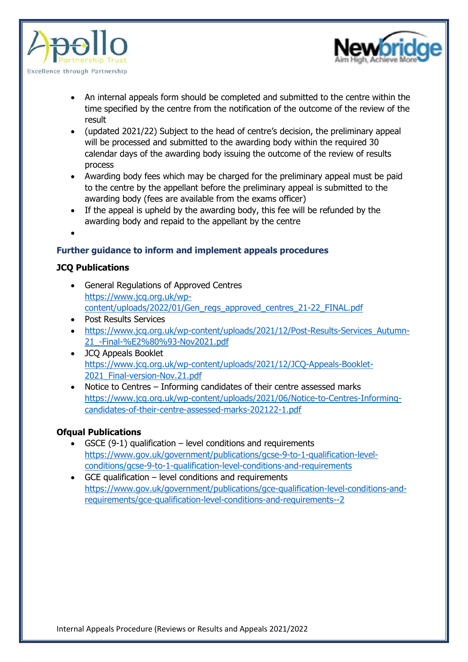



- An internal appeals form should be completed and submitted to the centre within the time specified by the centre from the notification of the outcome of the review of the result
- (updated 2021/22) Subject to the head of centre's decision, the preliminary appeal will be processed and submitted to the awarding body within the required 30 calendar days of the awarding body issuing the outcome of the review of results process
- Awarding body fees which may be charged for the preliminary appeal must be paid to the centre by the appellant before the preliminary appeal is submitted to the awarding body (fees are available from the exams officer)
- If the appeal is upheld by the awarding body, this fee will be refunded by the awarding body and repaid to the appellant by the centre
- •

#### **Further guidance to inform and implement appeals procedures**

#### **JCQ Publications**

- General Regulations of Approved Centres [https://www.jcq.org.uk/wp](https://www.jcq.org.uk/wp-content/uploads/2022/01/Gen_regs_approved_centres_21-22_FINAL.pdf)[content/uploads/2022/01/Gen\\_regs\\_approved\\_centres\\_21-22\\_FINAL.pdf](https://www.jcq.org.uk/wp-content/uploads/2022/01/Gen_regs_approved_centres_21-22_FINAL.pdf)
- Post Results Services
- [https://www.jcq.org.uk/wp-content/uploads/2021/12/Post-Results-Services\\_Autumn-](https://www.jcq.org.uk/wp-content/uploads/2021/12/Post-Results-Services_Autumn-21_-Final-%E2%80%93-Nov2021.pdf)[21\\_-Final-%E2%80%93-Nov2021.pdf](https://www.jcq.org.uk/wp-content/uploads/2021/12/Post-Results-Services_Autumn-21_-Final-%E2%80%93-Nov2021.pdf)
- JCQ Appeals Booklet [https://www.jcq.org.uk/wp-content/uploads/2021/12/JCQ-Appeals-Booklet-](https://www.jcq.org.uk/wp-content/uploads/2021/12/JCQ-Appeals-Booklet-2021_Final-version-Nov.21.pdf)2021 Final-version-Nov.21.pdf
- Notice to Centres Informing candidates of their centre assessed marks [https://www.jcq.org.uk/wp-content/uploads/2021/06/Notice-to-Centres-Informing](https://www.jcq.org.uk/wp-content/uploads/2021/06/Notice-to-Centres-Informing-candidates-of-their-centre-assessed-marks-202122-1.pdf)[candidates-of-their-centre-assessed-marks-202122-1.pdf](https://www.jcq.org.uk/wp-content/uploads/2021/06/Notice-to-Centres-Informing-candidates-of-their-centre-assessed-marks-202122-1.pdf)

#### **Ofqual Publications**

- GSCE  $(9-1)$  qualification level conditions and requirements [https://www.gov.uk/government/publications/gcse-9-to-1-qualification-level](https://www.gov.uk/government/publications/gcse-9-to-1-qualification-level-conditions/gcse-9-to-1-qualification-level-conditions-and-requirements)[conditions/gcse-9-to-1-qualification-level-conditions-and-requirements](https://www.gov.uk/government/publications/gcse-9-to-1-qualification-level-conditions/gcse-9-to-1-qualification-level-conditions-and-requirements)
- GCE qualification level conditions and requirements [https://www.gov.uk/government/publications/gce-qualification-level-conditions-and](https://www.gov.uk/government/publications/gce-qualification-level-conditions-and-requirements/gce-qualification-level-conditions-and-requirements--2)[requirements/gce-qualification-level-conditions-and-requirements--2](https://www.gov.uk/government/publications/gce-qualification-level-conditions-and-requirements/gce-qualification-level-conditions-and-requirements--2)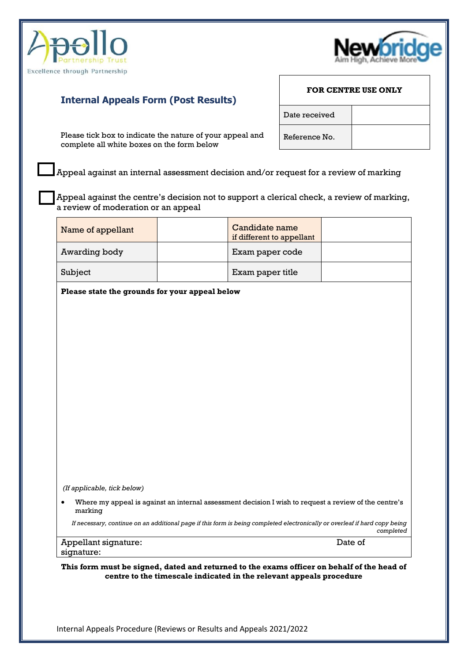



# **Internal Appeals Form (Post Results)**

Please tick box to indicate the nature of your appeal and complete all white boxes on the form below

Appeal against an internal assessment decision and/or request for a review of marking

Appeal against the centre's decision not to support a clerical check, a review of marking, a review of moderation or an appeal

| Name of appellant                                                                                                                                                 |  | Candidate name<br>if different to appellant                                                                                |           |  |  |  |  |
|-------------------------------------------------------------------------------------------------------------------------------------------------------------------|--|----------------------------------------------------------------------------------------------------------------------------|-----------|--|--|--|--|
| Awarding body                                                                                                                                                     |  | Exam paper code                                                                                                            |           |  |  |  |  |
| Subject                                                                                                                                                           |  | Exam paper title                                                                                                           |           |  |  |  |  |
| Please state the grounds for your appeal below                                                                                                                    |  |                                                                                                                            |           |  |  |  |  |
|                                                                                                                                                                   |  |                                                                                                                            |           |  |  |  |  |
|                                                                                                                                                                   |  |                                                                                                                            |           |  |  |  |  |
|                                                                                                                                                                   |  |                                                                                                                            |           |  |  |  |  |
|                                                                                                                                                                   |  |                                                                                                                            |           |  |  |  |  |
|                                                                                                                                                                   |  |                                                                                                                            |           |  |  |  |  |
|                                                                                                                                                                   |  |                                                                                                                            |           |  |  |  |  |
|                                                                                                                                                                   |  |                                                                                                                            |           |  |  |  |  |
|                                                                                                                                                                   |  |                                                                                                                            |           |  |  |  |  |
|                                                                                                                                                                   |  |                                                                                                                            |           |  |  |  |  |
|                                                                                                                                                                   |  |                                                                                                                            |           |  |  |  |  |
| (If applicable, tick below)                                                                                                                                       |  |                                                                                                                            |           |  |  |  |  |
| Where my appeal is against an internal assessment decision I wish to request a review of the centre's<br>marking                                                  |  |                                                                                                                            |           |  |  |  |  |
|                                                                                                                                                                   |  | If necessary, continue on an additional page if this form is being completed electronically or overleaf if hard copy being | completed |  |  |  |  |
| Appellant signature:<br>signature:                                                                                                                                |  | Date of                                                                                                                    |           |  |  |  |  |
| This form must be signed, dated and returned to the exams officer on behalf of the head of<br>centre to the timescale indicated in the relevant appeals procedure |  |                                                                                                                            |           |  |  |  |  |

**FOR CENTRE USE ONLY**

Date received

Reference No.